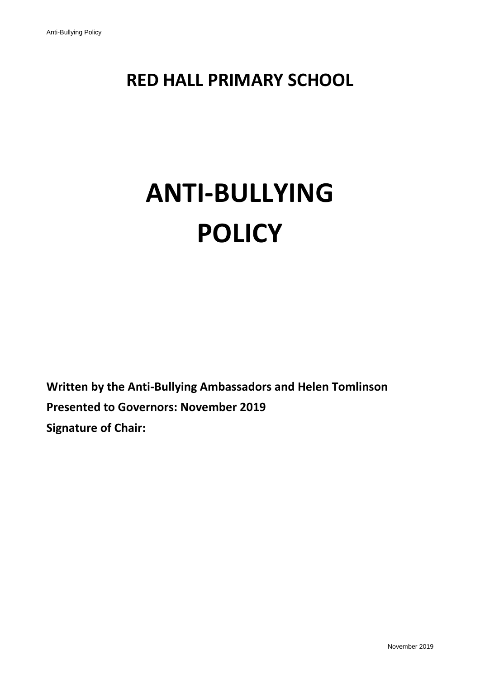# **RED HALL PRIMARY SCHOOL**

# **ANTI-BULLYING POLICY**

**Written by the Anti-Bullying Ambassadors and Helen Tomlinson Presented to Governors: November 2019 Signature of Chair:**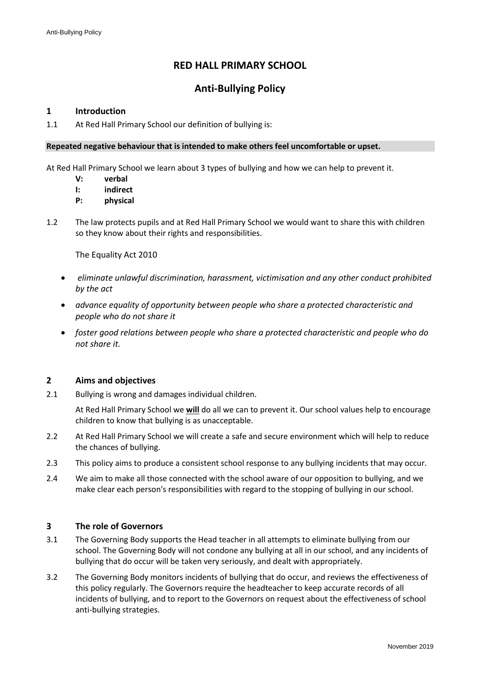## **RED HALL PRIMARY SCHOOL**

## **Anti-Bullying Policy**

#### **1 Introduction**

1.1 At Red Hall Primary School our definition of bullying is:

#### **Repeated negative behaviour that is intended to make others feel uncomfortable or upset.**

- At Red Hall Primary School we learn about 3 types of bullying and how we can help to prevent it.
	- **V: verbal**
	- **I: indirect**
	- **P: physical**
- 1.2 The law protects pupils and at Red Hall Primary School we would want to share this with children so they know about their rights and responsibilities.

The Equality Act 2010

- *eliminate unlawful discrimination, harassment, victimisation and any other conduct prohibited by the act*
- *advance equality of opportunity between people who share a protected characteristic and people who do not share it*
- *foster good relations between people who share a protected characteristic and people who do not share it.*

#### **2 Aims and objectives**

2.1 Bullying is wrong and damages individual children.

At Red Hall Primary School we **will** do all we can to prevent it. Our school values help to encourage children to know that bullying is as unacceptable.

- 2.2 At Red Hall Primary School we will create a safe and secure environment which will help to reduce the chances of bullying.
- 2.3 This policy aims to produce a consistent school response to any bullying incidents that may occur.
- 2.4 We aim to make all those connected with the school aware of our opposition to bullying, and we make clear each person's responsibilities with regard to the stopping of bullying in our school.

#### **3 The role of Governors**

- 3.1 The Governing Body supports the Head teacher in all attempts to eliminate bullying from our school. The Governing Body will not condone any bullying at all in our school, and any incidents of bullying that do occur will be taken very seriously, and dealt with appropriately.
- 3.2 The Governing Body monitors incidents of bullying that do occur, and reviews the effectiveness of this policy regularly. The Governors require the headteacher to keep accurate records of all incidents of bullying, and to report to the Governors on request about the effectiveness of school anti-bullying strategies.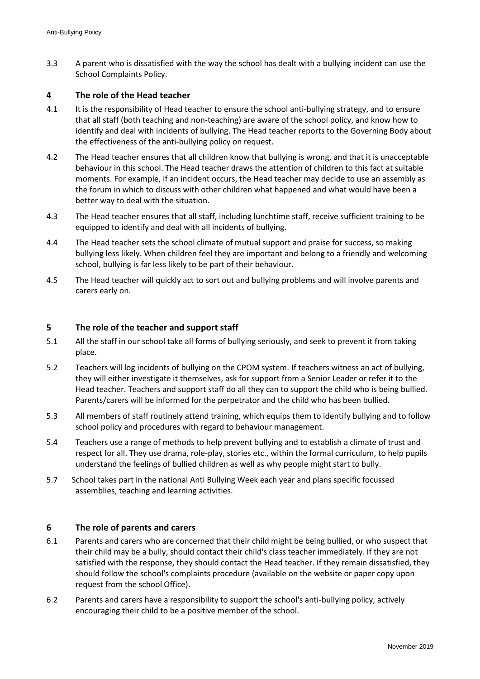3.3 A parent who is dissatisfied with the way the school has dealt with a bullying incident can use the School Complaints Policy.

#### **4 The role of the Head teacher**

- 4.1 It is the responsibility of Head teacher to ensure the school anti-bullying strategy, and to ensure that all staff (both teaching and non-teaching) are aware of the school policy, and know how to identify and deal with incidents of bullying. The Head teacher reports to the Governing Body about the effectiveness of the anti-bullying policy on request.
- 4.2 The Head teacher ensures that all children know that bullying is wrong, and that it is unacceptable behaviour in this school. The Head teacher draws the attention of children to this fact at suitable moments. For example, if an incident occurs, the Head teacher may decide to use an assembly as the forum in which to discuss with other children what happened and what would have been a better way to deal with the situation.
- 4.3 The Head teacher ensures that all staff, including lunchtime staff, receive sufficient training to be equipped to identify and deal with all incidents of bullying.
- 4.4 The Head teacher sets the school climate of mutual support and praise for success, so making bullying less likely. When children feel they are important and belong to a friendly and welcoming school, bullying is far less likely to be part of their behaviour.
- 4.5 The Head teacher will quickly act to sort out and bullying problems and will involve parents and carers early on.

#### **5 The role of the teacher and support staff**

- 5.1 All the staff in our school take all forms of bullying seriously, and seek to prevent it from taking place.
- 5.2 Teachers will log incidents of bullying on the CPOM system. If teachers witness an act of bullying, they will either investigate it themselves, ask for support from a Senior Leader or refer it to the Head teacher. Teachers and support staff do all they can to support the child who is being bullied. Parents/carers will be informed for the perpetrator and the child who has been bullied.
- 5.3 All members of staff routinely attend training, which equips them to identify bullying and to follow school policy and procedures with regard to behaviour management.
- 5.4 Teachers use a range of methods to help prevent bullying and to establish a climate of trust and respect for all. They use drama, role-play, stories etc., within the formal curriculum, to help pupils understand the feelings of bullied children as well as why people might start to bully.
- 5.7 School takes part in the national Anti Bullying Week each year and plans specific focussed assemblies, teaching and learning activities.

#### **6 The role of parents and carers**

- 6.1 Parents and carers who are concerned that their child might be being bullied, or who suspect that their child may be a bully, should contact their child's class teacher immediately. If they are not satisfied with the response, they should contact the Head teacher. If they remain dissatisfied, they should follow the school's complaints procedure (available on the website or paper copy upon request from the school Office).
- 6.2 Parents and carers have a responsibility to support the school's anti-bullying policy, actively encouraging their child to be a positive member of the school.